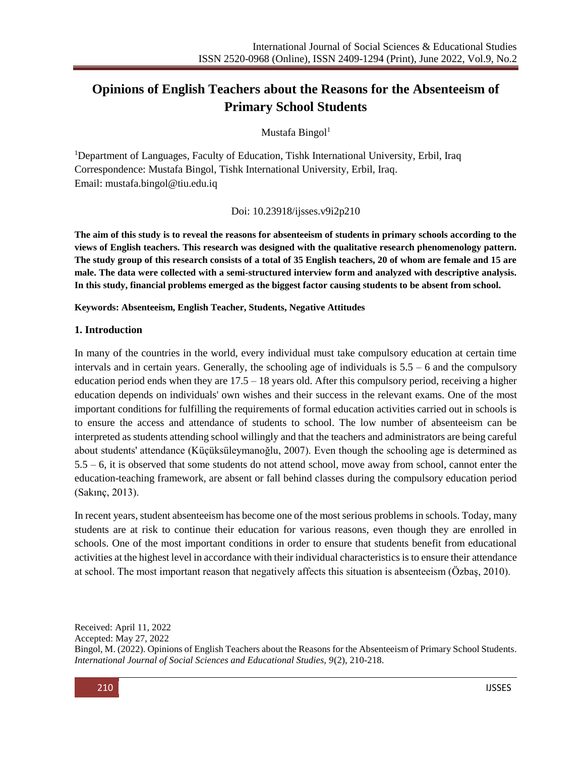# **Opinions of English Teachers about the Reasons for the Absenteeism of Primary School Students**

Mustafa Bingol $1$ 

<sup>1</sup>Department of Languages, Faculty of Education, Tishk International University, Erbil, Iraq Correspondence: Mustafa Bingol, Tishk International University, Erbil, Iraq. Email: [mustafa.bingol@tiu.edu.iq](mailto:mustafa.bingol@tiu.edu.iq)

Doi: 10.23918/ijsses.v9i2p210

**The aim of this study is to reveal the reasons for absenteeism of students in primary schools according to the views of English teachers. This research was designed with the qualitative research phenomenology pattern. The study group of this research consists of a total of 35 English teachers, 20 of whom are female and 15 are male. The data were collected with a semi-structured interview form and analyzed with descriptive analysis. In this study, financial problems emerged as the biggest factor causing students to be absent from school.** 

**Keywords: Absenteeism, English Teacher, Students, Negative Attitudes**

#### **1. Introduction**

In many of the countries in the world, every individual must take compulsory education at certain time intervals and in certain years. Generally, the schooling age of individuals is 5.5 – 6 and the compulsory education period ends when they are  $17.5 - 18$  years old. After this compulsory period, receiving a higher education depends on individuals' own wishes and their success in the relevant exams. One of the most important conditions for fulfilling the requirements of formal education activities carried out in schools is to ensure the access and attendance of students to school. The low number of absenteeism can be interpreted as students attending school willingly and that the teachers and administrators are being careful about students' attendance (Küçüksüleymanoğlu, 2007). Even though the schooling age is determined as 5.5 – 6, it is observed that some students do not attend school, move away from school, cannot enter the education-teaching framework, are absent or fall behind classes during the compulsory education period (Sakınç, 2013).

In recent years, student absenteeism has become one of the most serious problems in schools. Today, many students are at risk to continue their education for various reasons, even though they are enrolled in schools. One of the most important conditions in order to ensure that students benefit from educational activities at the highest level in accordance with their individual characteristics is to ensure their attendance at school. The most important reason that negatively affects this situation is absenteeism (Özbaş, 2010).

Received: April 11, 2022 Accepted: May 27, 2022 Bingol, M. (2022). Opinions of English Teachers about the Reasons for the Absenteeism of Primary School Students. *International Journal of Social Sciences and Educational Studies, 9*(2), 210-218.

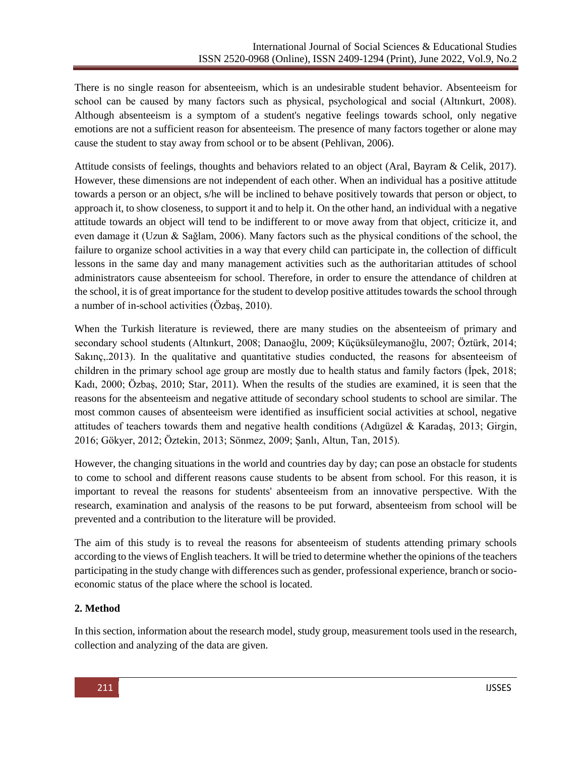There is no single reason for absenteeism, which is an undesirable student behavior. Absenteeism for school can be caused by many factors such as physical, psychological and social (Altınkurt, 2008). Although absenteeism is a symptom of a student's negative feelings towards school, only negative emotions are not a sufficient reason for absenteeism. The presence of many factors together or alone may cause the student to stay away from school or to be absent (Pehlivan, 2006).

Attitude consists of feelings, thoughts and behaviors related to an object (Aral, Bayram & Celik, 2017). However, these dimensions are not independent of each other. When an individual has a positive attitude towards a person or an object, s/he will be inclined to behave positively towards that person or object, to approach it, to show closeness, to support it and to help it. On the other hand, an individual with a negative attitude towards an object will tend to be indifferent to or move away from that object, criticize it, and even damage it (Uzun & Sağlam, 2006). Many factors such as the physical conditions of the school, the failure to organize school activities in a way that every child can participate in, the collection of difficult lessons in the same day and many management activities such as the authoritarian attitudes of school administrators cause absenteeism for school. Therefore, in order to ensure the attendance of children at the school, it is of great importance for the student to develop positive attitudes towards the school through a number of in-school activities (Özbaş, 2010).

When the Turkish literature is reviewed, there are many studies on the absenteeism of primary and secondary school students (Altınkurt, 2008; Danaoğlu, 2009; Küçüksüleymanoğlu, 2007; Öztürk, 2014; Sakınç,.2013). In the qualitative and quantitative studies conducted, the reasons for absenteeism of children in the primary school age group are mostly due to health status and family factors (İpek, 2018; Kadı, 2000; Özbaş, 2010; Star, 2011). When the results of the studies are examined, it is seen that the reasons for the absenteeism and negative attitude of secondary school students to school are similar. The most common causes of absenteeism were identified as insufficient social activities at school, negative attitudes of teachers towards them and negative health conditions (Adıgüzel & Karadaş, 2013; Girgin, 2016; Gökyer, 2012; Öztekin, 2013; Sönmez, 2009; Şanlı, Altun, Tan, 2015).

However, the changing situations in the world and countries day by day; can pose an obstacle for students to come to school and different reasons cause students to be absent from school. For this reason, it is important to reveal the reasons for students' absenteeism from an innovative perspective. With the research, examination and analysis of the reasons to be put forward, absenteeism from school will be prevented and a contribution to the literature will be provided.

The aim of this study is to reveal the reasons for absenteeism of students attending primary schools according to the views of English teachers. It will be tried to determine whether the opinions of the teachers participating in the study change with differences such as gender, professional experience, branch or socioeconomic status of the place where the school is located.

## **2. Method**

In this section, information about the research model, study group, measurement tools used in the research, collection and analyzing of the data are given.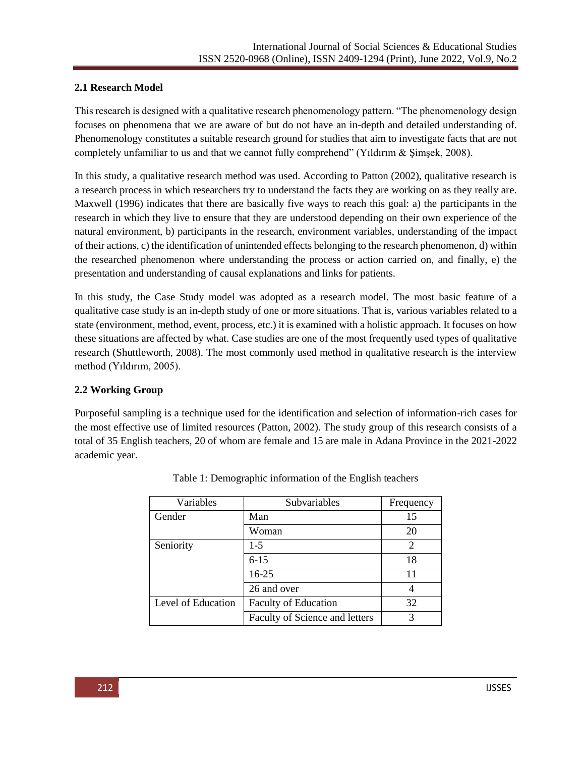### **2.1 Research Model**

This research is designed with a qualitative research phenomenology pattern. "The phenomenology design focuses on phenomena that we are aware of but do not have an in-depth and detailed understanding of. Phenomenology constitutes a suitable research ground for studies that aim to investigate facts that are not completely unfamiliar to us and that we cannot fully comprehend" (Yıldırım & Şimşek, 2008).

In this study, a qualitative research method was used. According to Patton (2002), qualitative research is a research process in which researchers try to understand the facts they are working on as they really are. Maxwell (1996) indicates that there are basically five ways to reach this goal: a) the participants in the research in which they live to ensure that they are understood depending on their own experience of the natural environment, b) participants in the research, environment variables, understanding of the impact of their actions, c) the identification of unintended effects belonging to the research phenomenon, d) within the researched phenomenon where understanding the process or action carried on, and finally, e) the presentation and understanding of causal explanations and links for patients.

In this study, the Case Study model was adopted as a research model. The most basic feature of a qualitative case study is an in-depth study of one or more situations. That is, various variables related to a state (environment, method, event, process, etc.) it is examined with a holistic approach. It focuses on how these situations are affected by what. Case studies are one of the most frequently used types of qualitative research (Shuttleworth, 2008). The most commonly used method in qualitative research is the interview method (Yıldırım, 2005).

#### **2.2 Working Group**

Purposeful sampling is a technique used for the identification and selection of information-rich cases for the most effective use of limited resources (Patton, 2002). The study group of this research consists of a total of 35 English teachers, 20 of whom are female and 15 are male in Adana Province in the 2021-2022 academic year.

| Variables          | Subvariables                   | Frequency                   |
|--------------------|--------------------------------|-----------------------------|
| Gender             | Man                            | 15                          |
|                    | Woman                          | 20                          |
| Seniority          | $1-5$                          | $\mathcal{D}_{\mathcal{L}}$ |
|                    | $6 - 15$                       | 18                          |
|                    | $16 - 25$                      | 11                          |
|                    | 26 and over                    |                             |
| Level of Education | <b>Faculty of Education</b>    | 32                          |
|                    | Faculty of Science and letters | 3                           |

Table 1: Demographic information of the English teachers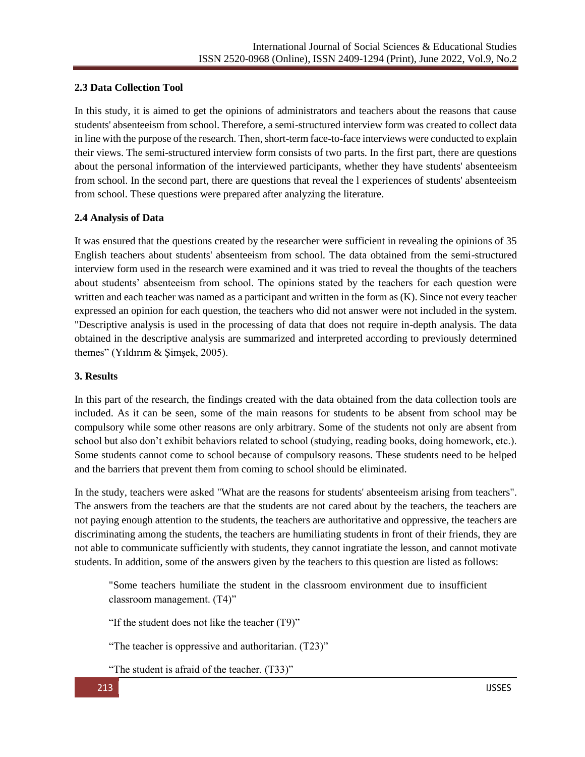## **2.3 Data Collection Tool**

In this study, it is aimed to get the opinions of administrators and teachers about the reasons that cause students' absenteeism from school. Therefore, a semi-structured interview form was created to collect data in line with the purpose of the research. Then, short-term face-to-face interviews were conducted to explain their views. The semi-structured interview form consists of two parts. In the first part, there are questions about the personal information of the interviewed participants, whether they have students' absenteeism from school. In the second part, there are questions that reveal the l experiences of students' absenteeism from school. These questions were prepared after analyzing the literature.

## **2.4 Analysis of Data**

It was ensured that the questions created by the researcher were sufficient in revealing the opinions of 35 English teachers about students' absenteeism from school. The data obtained from the semi-structured interview form used in the research were examined and it was tried to reveal the thoughts of the teachers about students' absenteeism from school. The opinions stated by the teachers for each question were written and each teacher was named as a participant and written in the form as (K). Since not every teacher expressed an opinion for each question, the teachers who did not answer were not included in the system. "Descriptive analysis is used in the processing of data that does not require in-depth analysis. The data obtained in the descriptive analysis are summarized and interpreted according to previously determined themes" (Yıldırım & Şimşek, 2005).

## **3. Results**

In this part of the research, the findings created with the data obtained from the data collection tools are included. As it can be seen, some of the main reasons for students to be absent from school may be compulsory while some other reasons are only arbitrary. Some of the students not only are absent from school but also don't exhibit behaviors related to school (studying, reading books, doing homework, etc.). Some students cannot come to school because of compulsory reasons. These students need to be helped and the barriers that prevent them from coming to school should be eliminated.

In the study, teachers were asked "What are the reasons for students' absenteeism arising from teachers". The answers from the teachers are that the students are not cared about by the teachers, the teachers are not paying enough attention to the students, the teachers are authoritative and oppressive, the teachers are discriminating among the students, the teachers are humiliating students in front of their friends, they are not able to communicate sufficiently with students, they cannot ingratiate the lesson, and cannot motivate students. In addition, some of the answers given by the teachers to this question are listed as follows:

"Some teachers humiliate the student in the classroom environment due to insufficient classroom management. (T4)"

"If the student does not like the teacher (T9)"

"The teacher is oppressive and authoritarian. (T23)"

"The student is afraid of the teacher. (T33)"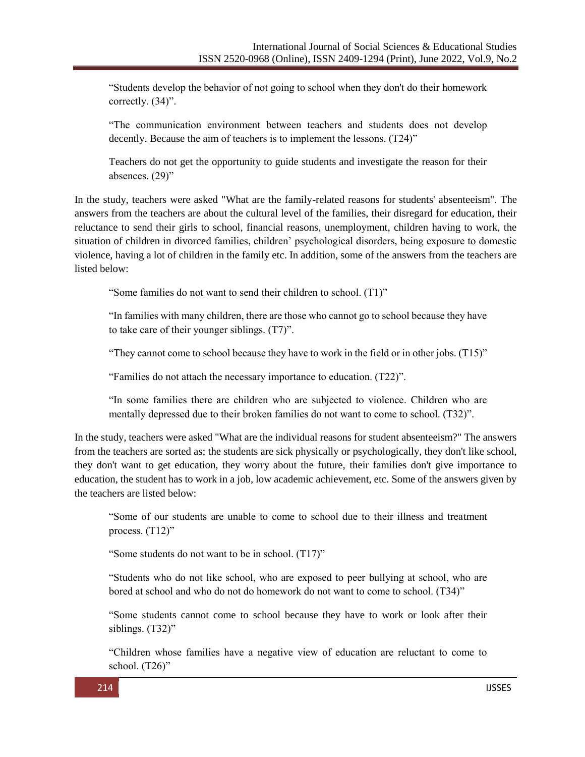"Students develop the behavior of not going to school when they don't do their homework correctly. (34)".

"The communication environment between teachers and students does not develop decently. Because the aim of teachers is to implement the lessons. (T24)"

Teachers do not get the opportunity to guide students and investigate the reason for their absences. (29)"

In the study, teachers were asked "What are the family-related reasons for students' absenteeism". The answers from the teachers are about the cultural level of the families, their disregard for education, their reluctance to send their girls to school, financial reasons, unemployment, children having to work, the situation of children in divorced families, children' psychological disorders, being exposure to domestic violence, having a lot of children in the family etc. In addition, some of the answers from the teachers are listed below:

"Some families do not want to send their children to school. (T1)"

"In families with many children, there are those who cannot go to school because they have to take care of their younger siblings. (T7)".

"They cannot come to school because they have to work in the field or in other jobs. (T15)"

"Families do not attach the necessary importance to education. (T22)".

"In some families there are children who are subjected to violence. Children who are mentally depressed due to their broken families do not want to come to school. (T32)".

In the study, teachers were asked "What are the individual reasons for student absenteeism?" The answers from the teachers are sorted as; the students are sick physically or psychologically, they don't like school, they don't want to get education, they worry about the future, their families don't give importance to education, the student has to work in a job, low academic achievement, etc. Some of the answers given by the teachers are listed below:

"Some of our students are unable to come to school due to their illness and treatment process. (T12)"

"Some students do not want to be in school. (T17)"

"Students who do not like school, who are exposed to peer bullying at school, who are bored at school and who do not do homework do not want to come to school. (T34)"

"Some students cannot come to school because they have to work or look after their siblings. (T32)"

"Children whose families have a negative view of education are reluctant to come to school. (T26)"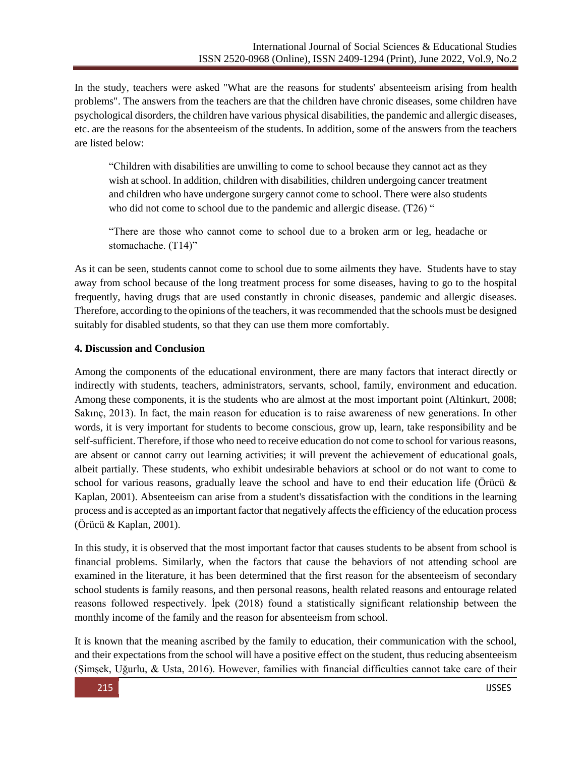In the study, teachers were asked "What are the reasons for students' absenteeism arising from health problems". The answers from the teachers are that the children have chronic diseases, some children have psychological disorders, the children have various physical disabilities, the pandemic and allergic diseases, etc. are the reasons for the absenteeism of the students. In addition, some of the answers from the teachers are listed below:

"Children with disabilities are unwilling to come to school because they cannot act as they wish at school. In addition, children with disabilities, children undergoing cancer treatment and children who have undergone surgery cannot come to school. There were also students who did not come to school due to the pandemic and allergic disease. (T26) "

"There are those who cannot come to school due to a broken arm or leg, headache or stomachache. (T14)"

As it can be seen, students cannot come to school due to some ailments they have. Students have to stay away from school because of the long treatment process for some diseases, having to go to the hospital frequently, having drugs that are used constantly in chronic diseases, pandemic and allergic diseases. Therefore, according to the opinions of the teachers, it was recommended that the schools must be designed suitably for disabled students, so that they can use them more comfortably.

#### **4. Discussion and Conclusion**

Among the components of the educational environment, there are many factors that interact directly or indirectly with students, teachers, administrators, servants, school, family, environment and education. Among these components, it is the students who are almost at the most important point (Altinkurt, 2008; Sakınç, 2013). In fact, the main reason for education is to raise awareness of new generations. In other words, it is very important for students to become conscious, grow up, learn, take responsibility and be self-sufficient. Therefore, if those who need to receive education do not come to school for various reasons, are absent or cannot carry out learning activities; it will prevent the achievement of educational goals, albeit partially. These students, who exhibit undesirable behaviors at school or do not want to come to school for various reasons, gradually leave the school and have to end their education life (Örücü  $\&$ Kaplan, 2001). Absenteeism can arise from a student's dissatisfaction with the conditions in the learning process and is accepted as an important factor that negatively affects the efficiency of the education process (Örücü & Kaplan, 2001).

In this study, it is observed that the most important factor that causes students to be absent from school is financial problems. Similarly, when the factors that cause the behaviors of not attending school are examined in the literature, it has been determined that the first reason for the absenteeism of secondary school students is family reasons, and then personal reasons, health related reasons and entourage related reasons followed respectively. İpek (2018) found a statistically significant relationship between the monthly income of the family and the reason for absenteeism from school.

It is known that the meaning ascribed by the family to education, their communication with the school, and their expectations from the school will have a positive effect on the student, thus reducing absenteeism (Şimşek, Uğurlu, & Usta, 2016). However, families with financial difficulties cannot take care of their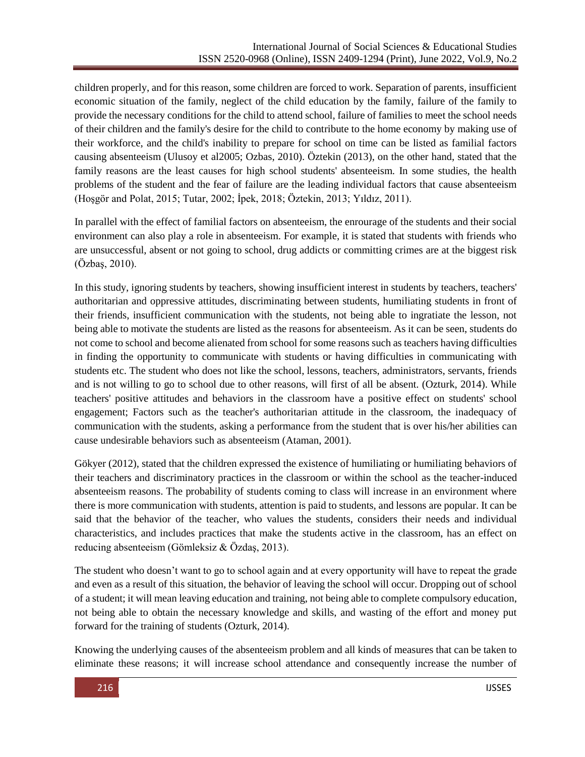children properly, and for this reason, some children are forced to work. Separation of parents, insufficient economic situation of the family, neglect of the child education by the family, failure of the family to provide the necessary conditions for the child to attend school, failure of families to meet the school needs of their children and the family's desire for the child to contribute to the home economy by making use of their workforce, and the child's inability to prepare for school on time can be listed as familial factors causing absenteeism (Ulusoy et al2005; Ozbas, 2010). Öztekin (2013), on the other hand, stated that the family reasons are the least causes for high school students' absenteeism. In some studies, the health problems of the student and the fear of failure are the leading individual factors that cause absenteeism (Hoşgör and Polat, 2015; Tutar, 2002; İpek, 2018; Öztekin, 2013; Yıldız, 2011).

In parallel with the effect of familial factors on absenteeism, the enrourage of the students and their social environment can also play a role in absenteeism. For example, it is stated that students with friends who are unsuccessful, absent or not going to school, drug addicts or committing crimes are at the biggest risk (Özbaş, 2010).

In this study, ignoring students by teachers, showing insufficient interest in students by teachers, teachers' authoritarian and oppressive attitudes, discriminating between students, humiliating students in front of their friends, insufficient communication with the students, not being able to ingratiate the lesson, not being able to motivate the students are listed as the reasons for absenteeism. As it can be seen, students do not come to school and become alienated from school for some reasons such as teachers having difficulties in finding the opportunity to communicate with students or having difficulties in communicating with students etc. The student who does not like the school, lessons, teachers, administrators, servants, friends and is not willing to go to school due to other reasons, will first of all be absent. (Ozturk, 2014). While teachers' positive attitudes and behaviors in the classroom have a positive effect on students' school engagement; Factors such as the teacher's authoritarian attitude in the classroom, the inadequacy of communication with the students, asking a performance from the student that is over his/her abilities can cause undesirable behaviors such as absenteeism (Ataman, 2001).

Gökyer (2012), stated that the children expressed the existence of humiliating or humiliating behaviors of their teachers and discriminatory practices in the classroom or within the school as the teacher-induced absenteeism reasons. The probability of students coming to class will increase in an environment where there is more communication with students, attention is paid to students, and lessons are popular. It can be said that the behavior of the teacher, who values the students, considers their needs and individual characteristics, and includes practices that make the students active in the classroom, has an effect on reducing absenteeism (Gömleksiz & Özdaş, 2013).

The student who doesn't want to go to school again and at every opportunity will have to repeat the grade and even as a result of this situation, the behavior of leaving the school will occur. Dropping out of school of a student; it will mean leaving education and training, not being able to complete compulsory education, not being able to obtain the necessary knowledge and skills, and wasting of the effort and money put forward for the training of students (Ozturk, 2014).

Knowing the underlying causes of the absenteeism problem and all kinds of measures that can be taken to eliminate these reasons; it will increase school attendance and consequently increase the number of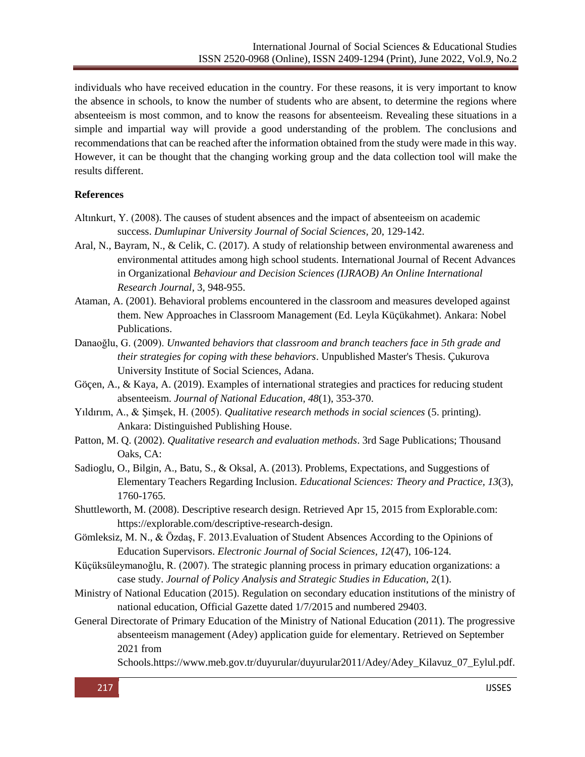individuals who have received education in the country. For these reasons, it is very important to know the absence in schools, to know the number of students who are absent, to determine the regions where absenteeism is most common, and to know the reasons for absenteeism. Revealing these situations in a simple and impartial way will provide a good understanding of the problem. The conclusions and recommendations that can be reached after the information obtained from the study were made in this way. However, it can be thought that the changing working group and the data collection tool will make the results different.

#### **References**

- Altınkurt, Y. (2008). The causes of student absences and the impact of absenteeism on academic success. *Dumlupinar University Journal of Social Sciences,* 20, 129-142.
- Aral, N., Bayram, N., & Celik, C. (2017). A study of relationship between environmental awareness and environmental attitudes among high school students. International Journal of Recent Advances in Organizational *Behaviour and Decision Sciences (IJRAOB) An Online International Research Journal*, 3, 948-955.
- Ataman, A. (2001). Behavioral problems encountered in the classroom and measures developed against them. New Approaches in Classroom Management (Ed. Leyla Küçükahmet). Ankara: Nobel Publications.
- Danaoğlu, G. (2009). *Unwanted behaviors that classroom and branch teachers face in 5th grade and their strategies for coping with these behaviors*. Unpublished Master's Thesis. Çukurova University Institute of Social Sciences, Adana.
- Göçen, A., & Kaya, A. (2019). Examples of international strategies and practices for reducing student absenteeism. *Journal of National Education, 48*(1), 353-370.
- Yıldırım, A., & Şimşek, H. (2005). *Qualitative research methods in social sciences* (5. printing). Ankara: Distinguished Publishing House.
- Patton, M. Q. (2002). *Qualitative research and evaluation methods*. 3rd Sage Publications; Thousand Oaks, CA:
- Sadioglu, O., Bilgin, A., Batu, S., & Oksal, A. (2013). Problems, Expectations, and Suggestions of Elementary Teachers Regarding Inclusion. *Educational Sciences: Theory and Practice, 13*(3), 1760-1765.
- Shuttleworth, M. (2008). Descriptive research design. Retrieved Apr 15, 2015 from Explorable.com: https://explorable.com/descriptive-research-design.
- Gömleksiz, M. N., & Özdaş, F. 2013.Evaluation of Student Absences According to the Opinions of Education Supervisors. *Electronic Journal of Social Sciences, 12*(47), 106-124.
- Küçüksüleymanoğlu, R. (2007). The strategic planning process in primary education organizations: a case study. *Journal of Policy Analysis and Strategic Studies in Education*, 2(1).
- Ministry of National Education (2015). Regulation on secondary education institutions of the ministry of national education, Official Gazette dated 1/7/2015 and numbered 29403.
- General Directorate of Primary Education of the Ministry of National Education (2011). The progressive absenteeism management (Adey) application guide for elementary. Retrieved on September 2021 from

Schools[.https://www.meb.gov.tr/duyurular/duyurular2011/Adey/Adey\\_Kilavuz\\_07\\_Eylul.pdf.](https://www.meb.gov.tr/duyurular/duyurular2011/ADEY/ADEY_KILAVUZ_07_Eylul.pdf%20adresinden%2022.12.2021)